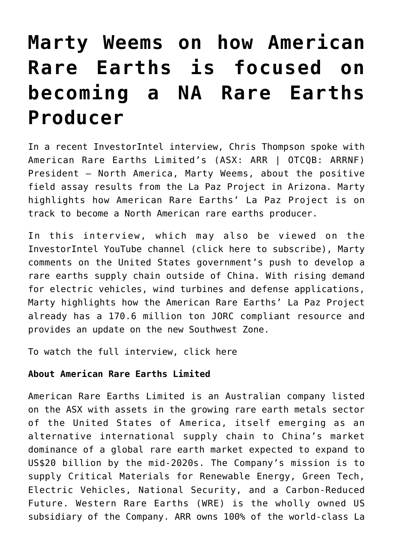## **[Marty Weems on how American](https://investorintel.com/investorintel-video/marty-weems-on-how-american-rare-earths-is-focused-on-becoming-a-na-rare-earths-producer/) [Rare Earths is focused on](https://investorintel.com/investorintel-video/marty-weems-on-how-american-rare-earths-is-focused-on-becoming-a-na-rare-earths-producer/) [becoming a NA Rare Earths](https://investorintel.com/investorintel-video/marty-weems-on-how-american-rare-earths-is-focused-on-becoming-a-na-rare-earths-producer/) [Producer](https://investorintel.com/investorintel-video/marty-weems-on-how-american-rare-earths-is-focused-on-becoming-a-na-rare-earths-producer/)**

In a recent InvestorIntel interview, Chris Thompson spoke with [American Rare Earths Limited'](https://americanrareearths.com.au/)s (ASX: ARR | OTCQB: ARRNF) President – North America, Marty Weems, about the positive field [assay results](https://investorintel.com/markets/technology-metals/technology-metals-news/positive-field-assay-results-demonstrate-further-potential-for-the-la-paz-project/) from the La Paz Project in Arizona. Marty highlights how American Rare Earths' La Paz Project is on track to become a North American rare earths producer.

In this interview, which may also be viewed on the InvestorIntel YouTube channel ([click here to subscribe\)](https://www.youtube.com/channel/UCTAJpGxZWbiV9psQA5WATVg?view_as=subscriber), Marty comments on the United States government's push to develop a rare earths supply chain outside of China. With rising demand for electric vehicles, wind turbines and defense applications, Marty highlights how the American Rare Earths' La Paz Project already has a 170.6 million ton JORC compliant resource and provides an update on the new Southwest Zone.

To watch the full interview, [click here](https://youtu.be/nIQUD2JmtmA)

## **About American Rare Earths Limited**

American Rare Earths Limited is an Australian company listed on the ASX with assets in the growing rare earth metals sector of the United States of America, itself emerging as an alternative international supply chain to China's market dominance of a global rare earth market expected to expand to US\$20 billion by the mid-2020s. The Company's mission is to supply Critical Materials for Renewable Energy, Green Tech, Electric Vehicles, National Security, and a Carbon-Reduced Future. Western Rare Earths (WRE) is the wholly owned US subsidiary of the Company. ARR owns 100% of the world-class La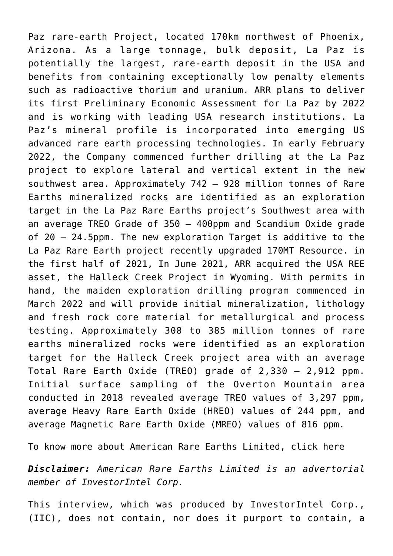Paz rare-earth Project, located 170km northwest of Phoenix, Arizona. As a large tonnage, bulk deposit, La Paz is potentially the largest, rare-earth deposit in the USA and benefits from containing exceptionally low penalty elements such as radioactive thorium and uranium. ARR plans to deliver its first Preliminary Economic Assessment for La Paz by 2022 and is working with leading USA research institutions. La Paz's mineral profile is incorporated into emerging US advanced rare earth processing technologies. In early February 2022, the Company commenced further drilling at the La Paz project to explore lateral and vertical extent in the new southwest area. Approximately 742 – 928 million tonnes of Rare Earths mineralized rocks are identified as an exploration target in the La Paz Rare Earths project's Southwest area with an average TREO Grade of 350 – 400ppm and Scandium Oxide grade of 20 – 24.5ppm. The new exploration Target is additive to the La Paz Rare Earth project recently upgraded 170MT Resource. in the first half of 2021, In June 2021, ARR acquired the USA REE asset, the Halleck Creek Project in Wyoming. With permits in hand, the maiden exploration drilling program commenced in March 2022 and will provide initial mineralization, lithology and fresh rock core material for metallurgical and process testing. Approximately 308 to 385 million tonnes of rare earths mineralized rocks were identified as an exploration target for the Halleck Creek project area with an average Total Rare Earth Oxide (TREO) grade of 2,330 – 2,912 ppm. Initial surface sampling of the Overton Mountain area conducted in 2018 revealed average TREO values of 3,297 ppm, average Heavy Rare Earth Oxide (HREO) values of 244 ppm, and average Magnetic Rare Earth Oxide (MREO) values of 816 ppm.

To know more about American Rare Earths Limited, [click here](https://americanrareearths.com.au/)

*Disclaimer: American Rare Earths Limited is an advertorial member of InvestorIntel Corp.*

This interview, which was produced by InvestorIntel Corp., (IIC), does not contain, nor does it purport to contain, a